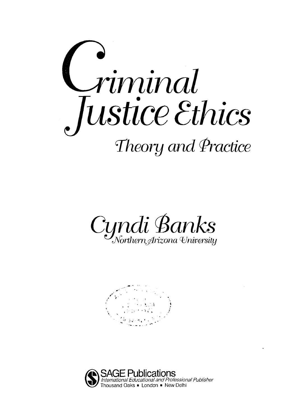





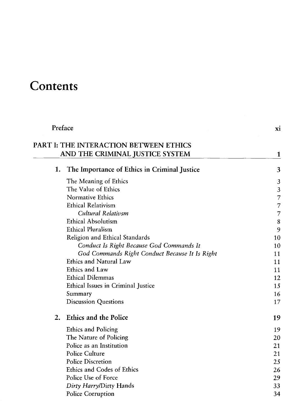## **Contents**

| Preface |                                                | xi |
|---------|------------------------------------------------|----|
|         | PART I: THE INTERACTION BETWEEN ETHICS         |    |
|         | AND THE CRIMINAL JUSTICE SYSTEM                | 1  |
| 1.      | The Importance of Ethics in Criminal Justice   | 3  |
|         | The Meaning of Ethics                          | 3  |
|         | The Value of Ethics                            | 3  |
|         | Normative Ethics                               | 7  |
|         | <b>Ethical Relativism</b>                      | 7  |
|         | Cultural Relativsm                             | 7  |
|         | <b>Ethical Absolutism</b>                      | 8  |
|         | <b>Ethical Pluralism</b>                       | 9  |
|         | Religion and Ethical Standards                 | 10 |
|         | Conduct Is Right Because God Commands It       | 10 |
|         | God Commands Right Conduct Because It Is Right | 11 |
|         | Ethics and Natural Law                         | 11 |
|         | Ethics and Law                                 | 11 |
|         | <b>Ethical Dilemmas</b>                        | 12 |
|         | Ethical Issues in Criminal Justice             | 15 |
|         | Summary                                        | 16 |
|         | <b>Discussion Questions</b>                    | 17 |
| 2.      | Ethics and the Police                          | 19 |
|         | Ethics and Policing                            | 19 |
|         | The Nature of Policing                         | 20 |
|         | Police as an Institution                       | 21 |
|         | Police Culture                                 | 21 |
|         | <b>Police Discretion</b>                       | 25 |
|         | Ethics and Codes of Ethics                     | 26 |
|         | Police Use of Force                            | 29 |
|         | Dirty Harry/Dirty Hands                        | 33 |
|         | Police Corruption                              | 34 |
|         |                                                |    |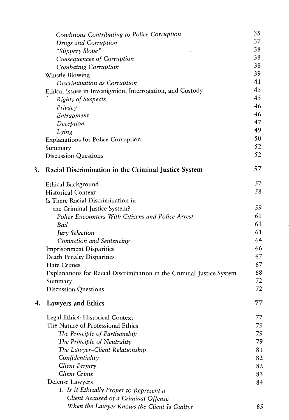|    | Conditions Contributing to Police Corruption                          | 35 |
|----|-----------------------------------------------------------------------|----|
|    | Drugs and Corruption                                                  | 37 |
|    | "Slippery Slope"                                                      | 38 |
|    | Consequences of Corruption                                            | 38 |
|    | Combating Corruption                                                  | 38 |
|    | Whistle-Blowing                                                       | 39 |
|    | Discrimination as Corruption                                          | 41 |
|    | Ethical Issues in Investigation, Interrogation, and Custody           | 45 |
|    | Rights of Suspects                                                    | 45 |
|    | Privacy                                                               | 46 |
|    | Entrapment                                                            | 46 |
|    | Deception                                                             | 47 |
|    | Lying                                                                 | 49 |
|    | <b>Explanations for Police Corruption</b>                             | 50 |
|    | Summary                                                               | 52 |
|    | <b>Discussion Questions</b>                                           | 52 |
| 3. | Racial Discrimination in the Criminal Justice System                  | 57 |
|    |                                                                       | 57 |
|    | Ethical Background<br><b>Historical Context</b>                       | 58 |
|    | Is There Racial Discrimination in                                     |    |
|    | the Criminal Justice System?                                          | 59 |
|    | Police Encounters With Citizens and Police Arrest                     | 61 |
|    | Bail                                                                  | 61 |
|    | <b>Jury Selection</b>                                                 | 61 |
|    | Conviction and Sentencing                                             | 64 |
|    | <b>Imprisonment Disparities</b>                                       | 66 |
|    | <b>Death Penalty Disparities</b>                                      | 67 |
|    | <b>Hate Crimes</b>                                                    | 67 |
|    | Explanations for Racial Discrimination in the Criminal Justice System | 68 |
|    | Summary                                                               | 72 |
|    | <b>Discussion Questions</b>                                           | 72 |
| 4. | <b>Lawyers and Ethics</b>                                             | 77 |
|    | Legal Ethics: Historical Context                                      | 77 |
|    | The Nature of Professional Ethics                                     | 79 |
|    | The Principle of Partisanship                                         | 79 |
|    | The Principle of Neutrality                                           | 79 |
|    | The Lawyer-Client Relationship                                        | 81 |
|    | Confidentiality                                                       | 82 |
|    | Client Perjury                                                        | 82 |
|    | Client Crime                                                          | 83 |
|    | Defense Lawyers                                                       | 84 |
|    | 1. Is It Ethically Proper to Represent a                              |    |
|    | Client Accused of a Criminal Offense                                  |    |
|    | When the Lawyer Knows the Client Is Guilty?                           | 85 |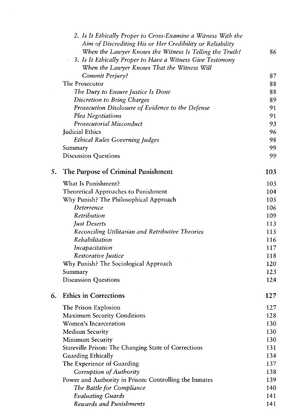|    | 2. Is It Ethically Proper to Cross-Examine a Witness With the |     |
|----|---------------------------------------------------------------|-----|
|    | Aim of Discrediting His or Her Credibility or Reliability     |     |
|    | When the Lawyer Knows the Witness Is Telling the Truth?       | 86  |
|    | 3. Is It Ethically Proper to Have a Witness Give Testimony    |     |
|    | When the Lawyer Knows That the Witness Will                   |     |
|    | Commit Perjury?                                               | 87  |
|    | The Prosecutor                                                | 88  |
|    | The Duty to Ensure Justice Is Done                            | 88  |
|    | Discretion to Bring Charges                                   | 89  |
|    | Prosecution Disclosure of Evidence to the Defense             | 91  |
|    | Plea Negotiations                                             | 91  |
|    | Prosecutorial Misconduct                                      | 93  |
|    | Judicial Ethics                                               | 96  |
|    | <b>Ethical Rules Governing Judges</b>                         | 98  |
|    | Summary                                                       | 99  |
|    | <b>Discussion Questions</b>                                   | 99  |
| 5. | The Purpose of Criminal Punishment                            | 103 |
|    | What Is Punishment?                                           | 103 |
|    | Theoretical Approaches to Punishment                          | 104 |
|    | Why Punish? The Philosophical Approach                        | 105 |
|    | Deterrence                                                    | 106 |
|    | Retribution                                                   | 109 |
|    | Just Deserts                                                  | 113 |
|    | Reconciling Utilitarian and Retributive Theories              | 115 |
|    | Rehabilitation                                                | 116 |
|    | Incapacitation                                                | 117 |
|    | Restorative Justice                                           | 118 |
|    | Why Punish? The Sociological Approach                         | 120 |
|    | Summary                                                       | 123 |
|    | <b>Discussion Questions</b>                                   | 124 |
| 6. | <b>Ethics in Corrections</b>                                  | 127 |
|    | The Prison Explosion                                          | 127 |
|    | <b>Maximum Security Conditions</b>                            | 128 |
|    | Women's Incarceration                                         | 130 |
|    | <b>Medium Security</b>                                        | 130 |
|    | Minimum Security                                              | 130 |
|    | Stateville Prison: The Changing State of Corrections          | 131 |
|    | Guarding Ethically                                            | 134 |
|    | The Experience of Guarding                                    | 137 |
|    | Corruption of Authority                                       | 138 |
|    | Power and Authority in Prison: Controlling the Inmates        | 139 |
|    | The Battle for Compliance                                     | 140 |
|    | <b>Evaluating Guards</b>                                      | 141 |
|    | Rewards and Punishments                                       | 141 |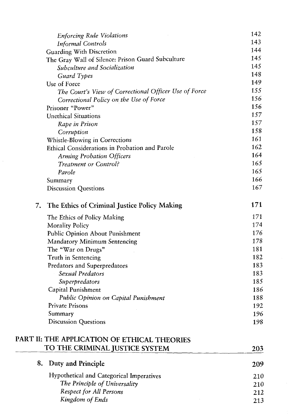|    | <b>Enforcing Rule Violations</b>                      | 142 |
|----|-------------------------------------------------------|-----|
|    | <b>Informal Controls</b>                              | 143 |
|    | Guarding With Discretion                              | 144 |
|    | The Gray Wall of Silence: Prison Guard Subculture     | 145 |
|    | Subculture and Socialization                          | 145 |
|    | Guard Types                                           | 148 |
|    | Use of Force                                          | 149 |
|    | The Court's View of Correctional Officer Use of Force | 155 |
|    | Correctional Policy on the Use of Force               | 156 |
|    | Prisoner "Power"                                      | 156 |
|    | <b>Unethical Situations</b>                           | 157 |
|    | Rape in Prison                                        | 157 |
|    | Corruption                                            | 158 |
|    | Whistle-Blowing in Corrections                        | 161 |
|    | Ethical Considerations in Probation and Parole        | 162 |
|    | <b>Arming Probation Officers</b>                      | 164 |
|    | Treatment or Control?                                 | 165 |
|    | Parole                                                | 165 |
|    | Summary                                               | 166 |
|    | <b>Discussion Questions</b>                           | 167 |
| 7. | The Ethics of Criminal Justice Policy Making          | 171 |
|    | The Ethics of Policy Making                           | 171 |
|    | <b>Morality Policy</b>                                | 174 |
|    | Public Opinion About Punishment                       | 176 |
|    | <b>Mandatory Minimum Sentencing</b>                   | 178 |
|    | The "War on Drugs"                                    | 181 |
|    | Truth in Sentencing                                   | 182 |
|    | Predators and Superpredators                          | 183 |
|    | Sexual Predators                                      | 183 |
|    | Superpredators                                        | 185 |
|    | Capital Punishment                                    | 186 |
|    | Public Opinion on Capital Punishment                  | 188 |
|    | Private Prisons                                       | 192 |
|    | Summary                                               | 196 |
|    | <b>Discussion Questions</b>                           | 198 |
|    | PART II: THE APPLICATION OF ETHICAL THEORIES          |     |
|    | TO THE CRIMINAL JUSTICE SYSTEM                        | 203 |
| 8. | Duty and Principle                                    | 209 |
|    | Hypothetical and Categorical Imperatives              | 210 |
|    | The Principle of Universality                         | 210 |
|    | Respect for All Persons                               | 212 |
|    | Kingdom of Ends                                       | 213 |

 $\hat{A}$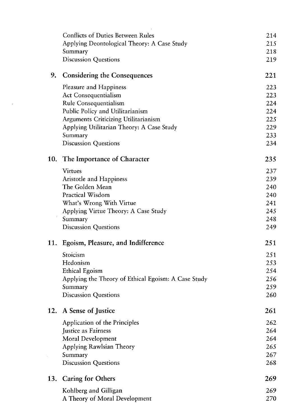|     | <b>Conflicts of Duties Between Rules</b><br>Applying Deontological Theory: A Case Study | 214<br>215 |
|-----|-----------------------------------------------------------------------------------------|------------|
|     | Summary                                                                                 | 218        |
|     | <b>Discussion Questions</b>                                                             | 219        |
| 9.  | <b>Considering the Consequences</b>                                                     | 221        |
|     | Pleasure and Happiness                                                                  | 223        |
|     | Act Consequentialism                                                                    | 223        |
|     | Rule Consequentialism                                                                   | 224        |
|     | Public Policy and Utilitarianism                                                        | 224        |
|     | Arguments Criticizing Utilitarianism                                                    | 225        |
|     | Applying Utilitarian Theory: A Case Study                                               | 229        |
|     | Summary                                                                                 | 233        |
|     | <b>Discussion Questions</b>                                                             | 234        |
| 10. | The Importance of Character                                                             | 235        |
|     | <b>Virtues</b>                                                                          | 237        |
|     | <b>Aristotle and Happiness</b>                                                          | 239        |
|     | The Golden Mean                                                                         | 240        |
|     | Practical Wisdom                                                                        | 240        |
|     | What's Wrong With Virtue                                                                | 241        |
|     | Applying Virtue Theory: A Case Study                                                    | 245        |
|     | Summary                                                                                 | 248        |
|     | <b>Discussion Questions</b>                                                             | 249        |
| 11. | Egoism, Pleasure, and Indifference                                                      | 251        |
|     | Stoicism                                                                                | 251        |
|     | Hedonism                                                                                | 253        |
|     | Ethical Egoism                                                                          | 254        |
|     | Applying the Theory of Ethical Egoism: A Case Study                                     | 256        |
|     | Summary                                                                                 | 259        |
|     | <b>Discussion Questions</b>                                                             | 260        |
|     | 12. A Sense of Justice                                                                  | 261        |
|     | Application of the Principles                                                           | 262        |
|     | Justice as Fairness                                                                     | 264        |
|     | Moral Development                                                                       | 264        |
|     | Applying Rawlsian Theory                                                                | 265        |
|     | Summary                                                                                 | 267        |
|     | <b>Discussion Questions</b>                                                             | 268        |
| 13. | <b>Caring for Others</b>                                                                | 269        |
|     | Kohlberg and Gilligan                                                                   | 269        |
|     | A Theory of Moral Development                                                           | 270        |
|     |                                                                                         |            |

 $\label{eq:2} \mathcal{L}(\mathcal{L}^{\text{max}}_{\text{max}}(\mathcal{L}^{\text{max}}_{\text{max}}))$